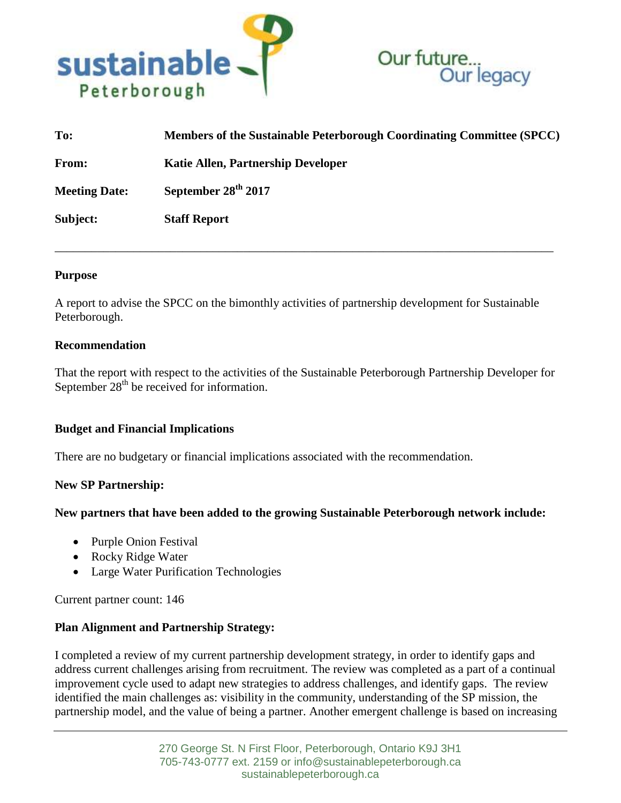



| To:                  | Members of the Sustainable Peterborough Coordinating Committee (SPCC) |
|----------------------|-----------------------------------------------------------------------|
| From:                | Katie Allen, Partnership Developer                                    |
| <b>Meeting Date:</b> | September 28 <sup>th</sup> 2017                                       |
| Subject:             | <b>Staff Report</b>                                                   |

\_\_\_\_\_\_\_\_\_\_\_\_\_\_\_\_\_\_\_\_\_\_\_\_\_\_\_\_\_\_\_\_\_\_\_\_\_\_\_\_\_\_\_\_\_\_\_\_\_\_\_\_\_\_\_\_\_\_\_\_\_\_\_\_\_\_\_\_\_\_\_\_\_\_\_\_\_\_\_\_\_\_

#### **Purpose**

A report to advise the SPCC on the bimonthly activities of partnership development for Sustainable Peterborough.

#### **Recommendation**

That the report with respect to the activities of the Sustainable Peterborough Partnership Developer for September  $28<sup>th</sup>$  be received for information.

## **Budget and Financial Implications**

There are no budgetary or financial implications associated with the recommendation.

## **New SP Partnership:**

#### **New partners that have been added to the growing Sustainable Peterborough network include:**

- Purple Onion Festival
- Rocky Ridge Water
- Large Water Purification Technologies

Current partner count: 146

## **Plan Alignment and Partnership Strategy:**

I completed a review of my current partnership development strategy, in order to identify gaps and address current challenges arising from recruitment. The review was completed as a part of a continual improvement cycle used to adapt new strategies to address challenges, and identify gaps. The review identified the main challenges as: visibility in the community, understanding of the SP mission, the partnership model, and the value of being a partner. Another emergent challenge is based on increasing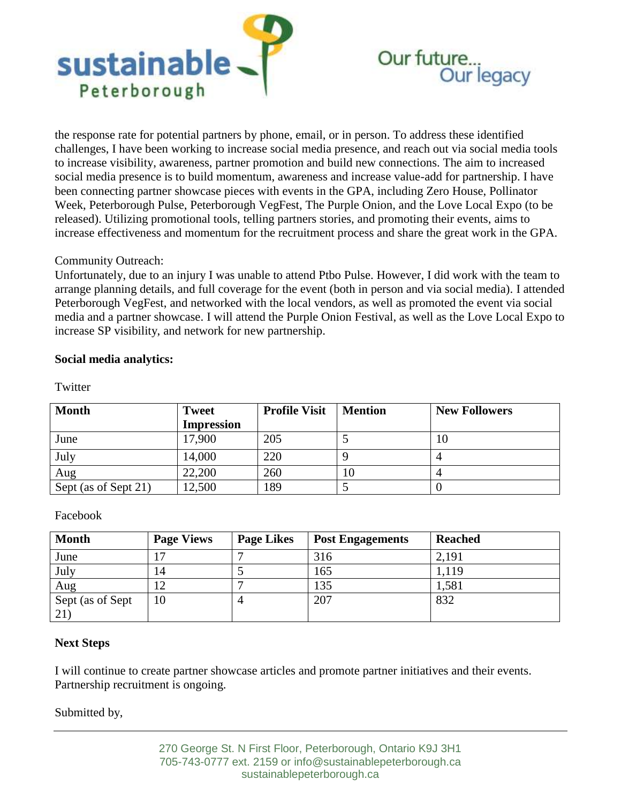

# Our future...<br>Our legacy

the response rate for potential partners by phone, email, or in person. To address these identified challenges, I have been working to increase social media presence, and reach out via social media tools to increase visibility, awareness, partner promotion and build new connections. The aim to increased social media presence is to build momentum, awareness and increase value-add for partnership. I have been connecting partner showcase pieces with events in the GPA, including Zero House, Pollinator Week, Peterborough Pulse, Peterborough VegFest, The Purple Onion, and the Love Local Expo (to be released). Utilizing promotional tools, telling partners stories, and promoting their events, aims to increase effectiveness and momentum for the recruitment process and share the great work in the GPA.

# Community Outreach:

Unfortunately, due to an injury I was unable to attend Ptbo Pulse. However, I did work with the team to arrange planning details, and full coverage for the event (both in person and via social media). I attended Peterborough VegFest, and networked with the local vendors, as well as promoted the event via social media and a partner showcase. I will attend the Purple Onion Festival, as well as the Love Local Expo to increase SP visibility, and network for new partnership.

# **Social media analytics:**

| <b>Month</b>         | <b>Tweet</b><br><b>Impression</b> | <b>Profile Visit</b> | <b>Mention</b> | <b>New Followers</b> |
|----------------------|-----------------------------------|----------------------|----------------|----------------------|
| June                 | 17,900                            | 205                  |                | 10                   |
| July                 | 14,000                            | 220                  |                |                      |
| Aug                  | 22,200                            | 260                  | 10             |                      |
| Sept (as of Sept 21) | 12,500                            | 189                  |                |                      |

**Twitter** 

Facebook

| <b>Month</b>     | <b>Page Views</b> | <b>Page Likes</b> | <b>Post Engagements</b> | <b>Reached</b> |
|------------------|-------------------|-------------------|-------------------------|----------------|
| June             | $\mathbf{r}$      |                   | 316                     | 2,191          |
| July             | 14                |                   | 165                     | 1,119          |
| Aug              | $\sim$            |                   | 135                     | 1,581          |
| Sept (as of Sept | 10                |                   | 207                     | 832            |
| 21)              |                   |                   |                         |                |

## **Next Steps**

I will continue to create partner showcase articles and promote partner initiatives and their events. Partnership recruitment is ongoing.

Submitted by,